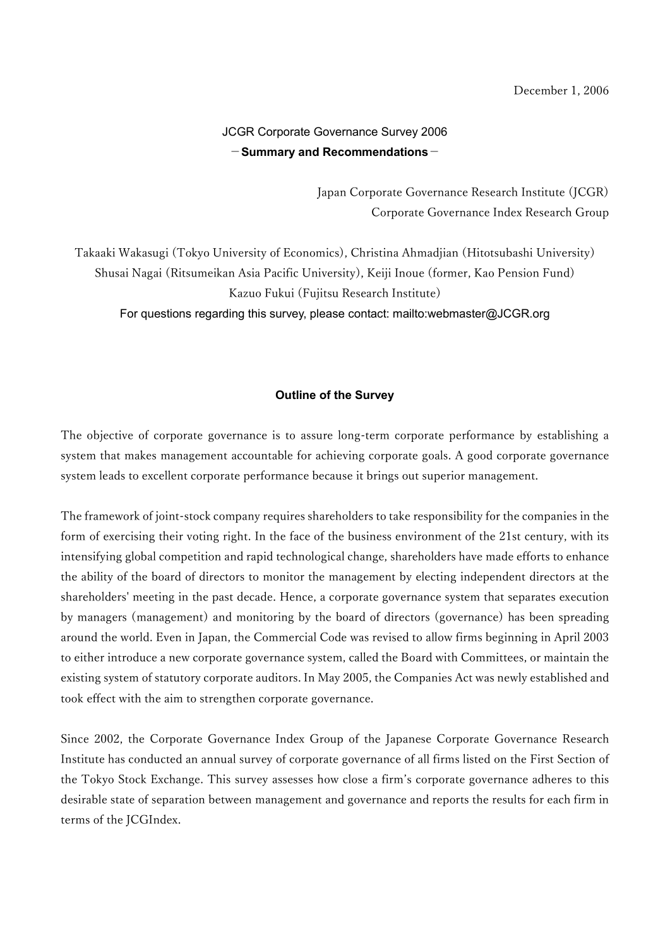# JCGR Corporate Governance Survey 2006  $-$ Summary and Recommendations $-$

Japan Corporate Governance Research Institute (JCGR) Corporate Governance Index Research Group

Takaaki Wakasugi (Tokyo University of Economics), Christina Ahmadjian (Hitotsubashi University) Shusai Nagai (Ritsumeikan Asia Pacific University), Keiji Inoue (former, Kao Pension Fund) Kazuo Fukui (Fujitsu Research Institute) For questions regarding this survey, please contact: mailto:webmaster@JCGR.org

#### Outline of the Survey

The objective of corporate governance is to assure long-term corporate performance by establishing a system that makes management accountable for achieving corporate goals. A good corporate governance system leads to excellent corporate performance because it brings out superior management.

The framework of joint-stock company requires shareholders to take responsibility for the companies in the form of exercising their voting right. In the face of the business environment of the 21st century, with its intensifying global competition and rapid technological change, shareholders have made efforts to enhance the ability of the board of directors to monitor the management by electing independent directors at the shareholders' meeting in the past decade. Hence, a corporate governance system that separates execution by managers (management) and monitoring by the board of directors (governance) has been spreading around the world. Even in Japan, the Commercial Code was revised to allow firms beginning in April 2003 to either introduce a new corporate governance system, called the Board with Committees, or maintain the existing system of statutory corporate auditors. In May 2005, the Companies Act was newly established and took effect with the aim to strengthen corporate governance.

Since 2002, the Corporate Governance Index Group of the Japanese Corporate Governance Research Institute has conducted an annual survey of corporate governance of all firms listed on the First Section of the Tokyo Stock Exchange. This survey assesses how close a firm's corporate governance adheres to this desirable state of separation between management and governance and reports the results for each firm in terms of the JCGIndex.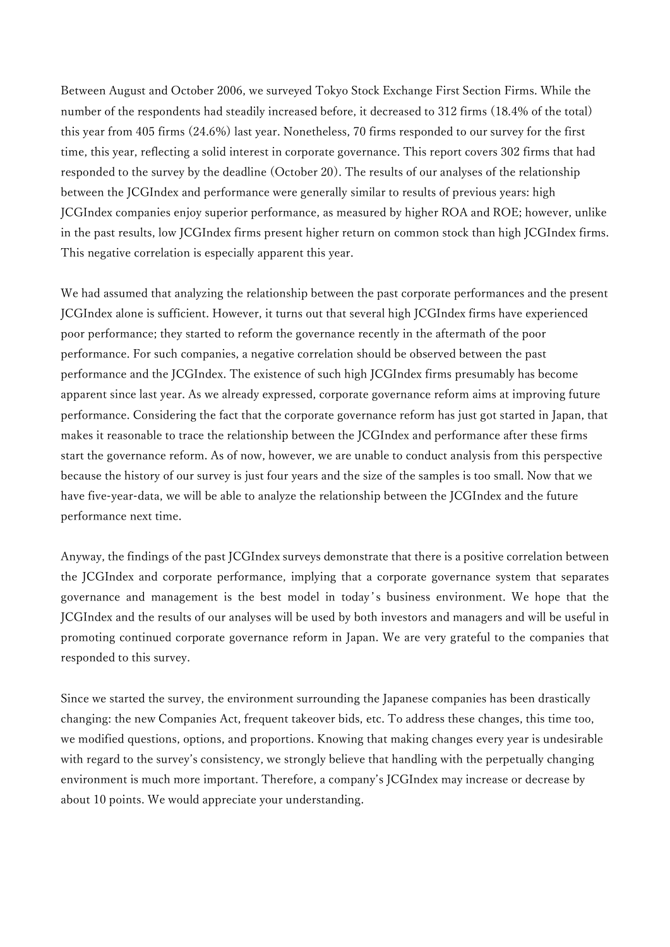Between August and October 2006, we surveyed Tokyo Stock Exchange First Section Firms. While the number of the respondents had steadily increased before, it decreased to 312 firms (18.4% of the total) this year from 405 firms (24.6%) last year. Nonetheless, 70 firms responded to our survey for the first time, this year, reflecting a solid interest in corporate governance. This report covers 302 firms that had responded to the survey by the deadline (October 20). The results of our analyses of the relationship between the JCGIndex and performance were generally similar to results of previous years: high JCGIndex companies enjoy superior performance, as measured by higher ROA and ROE; however, unlike in the past results, low JCGIndex firms present higher return on common stock than high JCGIndex firms. This negative correlation is especially apparent this year.

We had assumed that analyzing the relationship between the past corporate performances and the present JCGIndex alone is sufficient. However, it turns out that several high JCGIndex firms have experienced poor performance; they started to reform the governance recently in the aftermath of the poor performance. For such companies, a negative correlation should be observed between the past performance and the JCGIndex. The existence of such high JCGIndex firms presumably has become apparent since last year. As we already expressed, corporate governance reform aims at improving future performance. Considering the fact that the corporate governance reform has just got started in Japan, that makes it reasonable to trace the relationship between the JCGIndex and performance after these firms start the governance reform. As of now, however, we are unable to conduct analysis from this perspective because the history of our survey is just four years and the size of the samples is too small. Now that we have five-year-data, we will be able to analyze the relationship between the JCGIndex and the future performance next time.

Anyway, the findings of the past JCGIndex surveys demonstrate that there is a positive correlation between the JCGIndex and corporate performance, implying that a corporate governance system that separates governance and management is the best model in today 's business environment. We hope that the JCGIndex and the results of our analyses will be used by both investors and managers and will be useful in promoting continued corporate governance reform in Japan. We are very grateful to the companies that responded to this survey.

Since we started the survey, the environment surrounding the Japanese companies has been drastically changing: the new Companies Act, frequent takeover bids, etc. To address these changes, this time too, we modified questions, options, and proportions. Knowing that making changes every year is undesirable with regard to the survey's consistency, we strongly believe that handling with the perpetually changing environment is much more important. Therefore, a company's JCGIndex may increase or decrease by about 10 points. We would appreciate your understanding.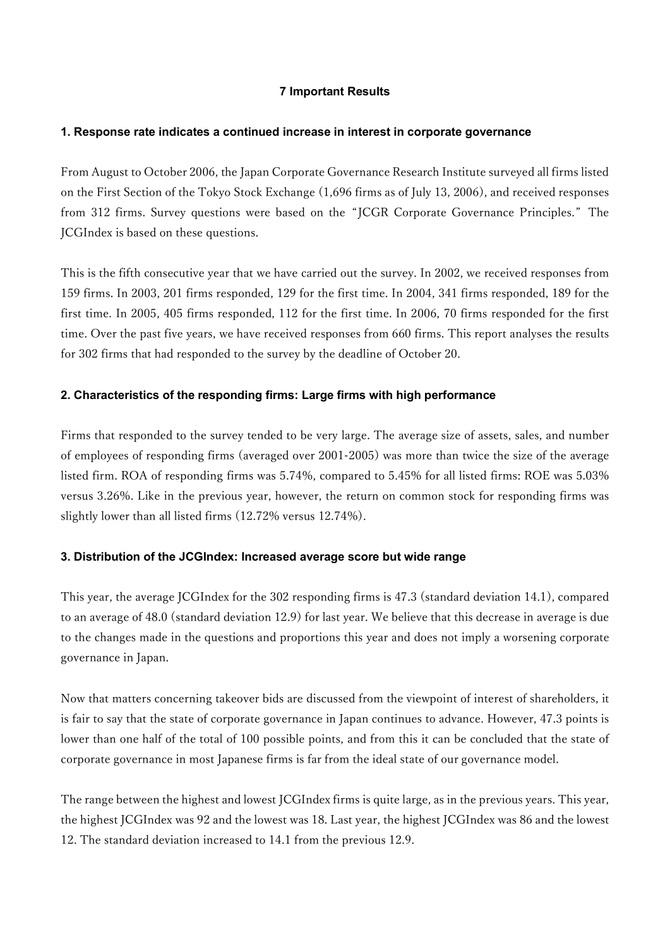## 7 Important Results

#### 1. Response rate indicates a continued increase in interest in corporate governance

From August to October 2006, the Japan Corporate Governance Research Institute surveyed all firms listed on the First Section of the Tokyo Stock Exchange (1,696 firms as of July 13, 2006), and received responses from 312 firms. Survey questions were based on the "JCGR Corporate Governance Principles." The JCGIndex is based on these questions.

This is the fifth consecutive year that we have carried out the survey. In 2002, we received responses from 159 firms. In 2003, 201 firms responded, 129 for the first time. In 2004, 341 firms responded, 189 for the first time. In 2005, 405 firms responded, 112 for the first time. In 2006, 70 firms responded for the first time. Over the past five years, we have received responses from 660 firms. This report analyses the results for 302 firms that had responded to the survey by the deadline of October 20.

## 2. Characteristics of the responding firms: Large firms with high performance

Firms that responded to the survey tended to be very large. The average size of assets, sales, and number of employees of responding firms (averaged over 2001-2005) was more than twice the size of the average listed firm. ROA of responding firms was 5.74%, compared to 5.45% for all listed firms: ROE was 5.03% versus 3.26%. Like in the previous year, however, the return on common stock for responding firms was slightly lower than all listed firms (12.72% versus 12.74%).

### 3. Distribution of the JCGIndex: Increased average score but wide range

This year, the average JCGIndex for the 302 responding firms is 47.3 (standard deviation 14.1), compared to an average of 48.0 (standard deviation 12.9) for last year. We believe that this decrease in average is due to the changes made in the questions and proportions this year and does not imply a worsening corporate governance in Japan.

Now that matters concerning takeover bids are discussed from the viewpoint of interest of shareholders, it is fair to say that the state of corporate governance in Japan continues to advance. However, 47.3 points is lower than one half of the total of 100 possible points, and from this it can be concluded that the state of corporate governance in most Japanese firms is far from the ideal state of our governance model.

The range between the highest and lowest JCGIndex firms is quite large, as in the previous years. This year, the highest JCGIndex was 92 and the lowest was 18. Last year, the highest JCGIndex was 86 and the lowest 12. The standard deviation increased to 14.1 from the previous 12.9.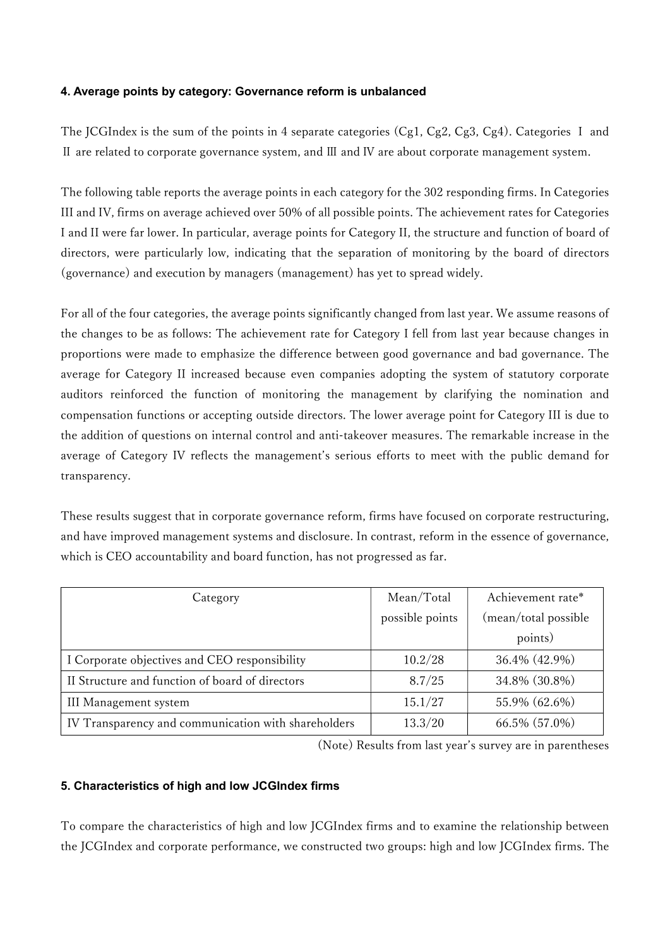### 4. Average points by category: Governance reform is unbalanced

The JCGIndex is the sum of the points in 4 separate categories (Cg1, Cg2, Cg3, Cg4). Categories I and Ⅱ are related to corporate governance system, and Ⅲ and Ⅳ are about corporate management system.

The following table reports the average points in each category for the 302 responding firms. In Categories III and IV, firms on average achieved over 50% of all possible points. The achievement rates for Categories I and II were far lower. In particular, average points for Category II, the structure and function of board of directors, were particularly low, indicating that the separation of monitoring by the board of directors (governance) and execution by managers (management) has yet to spread widely.

For all of the four categories, the average points significantly changed from last year. We assume reasons of the changes to be as follows: The achievement rate for Category I fell from last year because changes in proportions were made to emphasize the difference between good governance and bad governance. The average for Category II increased because even companies adopting the system of statutory corporate auditors reinforced the function of monitoring the management by clarifying the nomination and compensation functions or accepting outside directors. The lower average point for Category III is due to the addition of questions on internal control and anti-takeover measures. The remarkable increase in the average of Category IV reflects the management's serious efforts to meet with the public demand for transparency.

These results suggest that in corporate governance reform, firms have focused on corporate restructuring, and have improved management systems and disclosure. In contrast, reform in the essence of governance, which is CEO accountability and board function, has not progressed as far.

| Category                                            | Mean/Total      | Achievement rate*    |  |
|-----------------------------------------------------|-----------------|----------------------|--|
|                                                     | possible points | (mean/total possible |  |
|                                                     |                 | points)              |  |
| I Corporate objectives and CEO responsibility       | 10.2/28         | 36.4% (42.9%)        |  |
| II Structure and function of board of directors     | 8.7/25          | 34.8% (30.8%)        |  |
| III Management system                               | 15.1/27         | 55.9% (62.6%)        |  |
| IV Transparency and communication with shareholders | 13.3/20         | 66.5% (57.0%)        |  |

(Note) Results from last year's survey are in parentheses

### 5. Characteristics of high and low JCGIndex firms

To compare the characteristics of high and low JCGIndex firms and to examine the relationship between the JCGIndex and corporate performance, we constructed two groups: high and low JCGIndex firms. The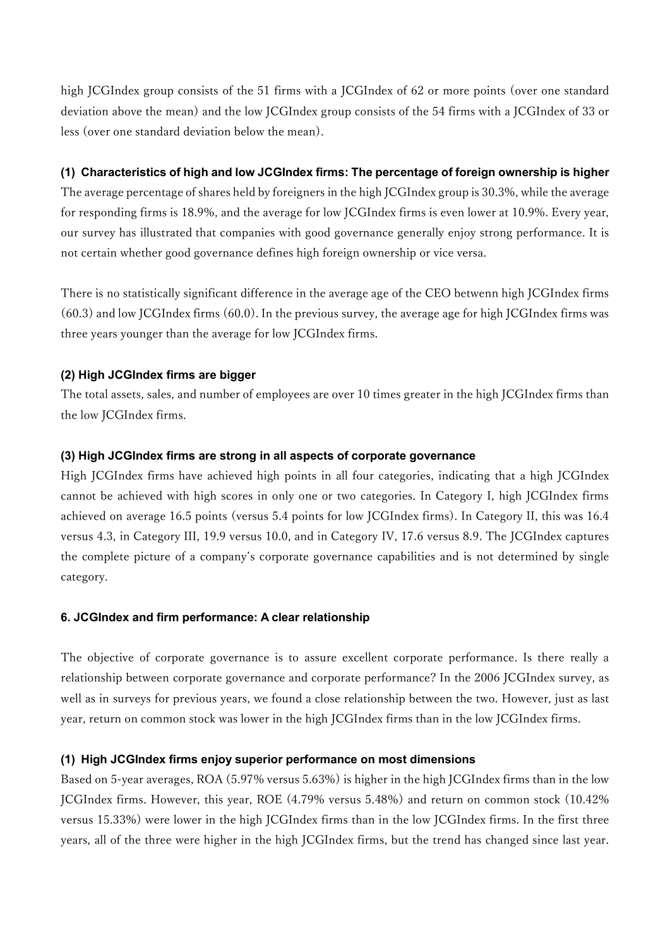high JCGIndex group consists of the 51 firms with a JCGIndex of 62 or more points (over one standard deviation above the mean) and the low JCGIndex group consists of the 54 firms with a JCGIndex of 33 or less (over one standard deviation below the mean).

## (1) Characteristics of high and low JCGIndex firms: The percentage of foreign ownership is higher

The average percentage of shares held by foreigners in the high JCGIndex group is 30.3%, while the average for responding firms is 18.9%, and the average for low JCGIndex firms is even lower at 10.9%. Every year, our survey has illustrated that companies with good governance generally enjoy strong performance. It is not certain whether good governance defines high foreign ownership or vice versa.

There is no statistically significant difference in the average age of the CEO betwenn high JCGIndex firms (60.3) and low JCGIndex firms (60.0). In the previous survey, the average age for high JCGIndex firms was three years younger than the average for low JCGIndex firms.

## (2) High JCGIndex firms are bigger

The total assets, sales, and number of employees are over 10 times greater in the high JCGIndex firms than the low JCGIndex firms.

## (3) High JCGIndex firms are strong in all aspects of corporate governance

High JCGIndex firms have achieved high points in all four categories, indicating that a high JCGIndex cannot be achieved with high scores in only one or two categories. In Category I, high JCGIndex firms achieved on average 16.5 points (versus 5.4 points for low JCGIndex firms). In Category II, this was 16.4 versus 4.3, in Category III, 19.9 versus 10.0, and in Category IV, 17.6 versus 8.9. The JCGIndex captures the complete picture of a company's corporate governance capabilities and is not determined by single category.

### 6. JCGIndex and firm performance: A clear relationship

The objective of corporate governance is to assure excellent corporate performance. Is there really a relationship between corporate governance and corporate performance? In the 2006 JCGIndex survey, as well as in surveys for previous years, we found a close relationship between the two. However, just as last year, return on common stock was lower in the high JCGIndex firms than in the low JCGIndex firms.

## (1) High JCGIndex firms enjoy superior performance on most dimensions

Based on 5-year averages, ROA (5.97% versus 5.63%) is higher in the high JCGIndex firms than in the low JCGIndex firms. However, this year, ROE (4.79% versus 5.48%) and return on common stock (10.42% versus 15.33%) were lower in the high JCGIndex firms than in the low JCGIndex firms. In the first three years, all of the three were higher in the high JCGIndex firms, but the trend has changed since last year.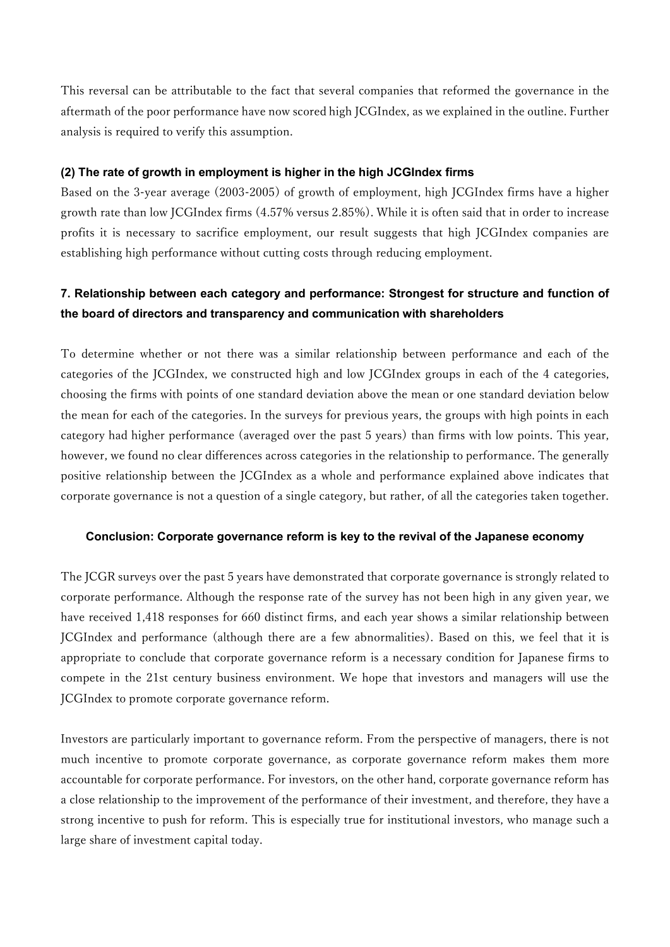This reversal can be attributable to the fact that several companies that reformed the governance in the aftermath of the poor performance have now scored high JCGIndex, as we explained in the outline. Further analysis is required to verify this assumption.

#### (2) The rate of growth in employment is higher in the high JCGIndex firms

Based on the 3-year average (2003-2005) of growth of employment, high JCGIndex firms have a higher growth rate than low JCGIndex firms (4.57% versus 2.85%). While it is often said that in order to increase profits it is necessary to sacrifice employment, our result suggests that high JCGIndex companies are establishing high performance without cutting costs through reducing employment.

# 7. Relationship between each category and performance: Strongest for structure and function of the board of directors and transparency and communication with shareholders

To determine whether or not there was a similar relationship between performance and each of the categories of the JCGIndex, we constructed high and low JCGIndex groups in each of the 4 categories, choosing the firms with points of one standard deviation above the mean or one standard deviation below the mean for each of the categories. In the surveys for previous years, the groups with high points in each category had higher performance (averaged over the past 5 years) than firms with low points. This year, however, we found no clear differences across categories in the relationship to performance. The generally positive relationship between the JCGIndex as a whole and performance explained above indicates that corporate governance is not a question of a single category, but rather, of all the categories taken together.

### Conclusion: Corporate governance reform is key to the revival of the Japanese economy

The JCGR surveys over the past 5 years have demonstrated that corporate governance is strongly related to corporate performance. Although the response rate of the survey has not been high in any given year, we have received 1,418 responses for 660 distinct firms, and each year shows a similar relationship between JCGIndex and performance (although there are a few abnormalities). Based on this, we feel that it is appropriate to conclude that corporate governance reform is a necessary condition for Japanese firms to compete in the 21st century business environment. We hope that investors and managers will use the JCGIndex to promote corporate governance reform.

Investors are particularly important to governance reform. From the perspective of managers, there is not much incentive to promote corporate governance, as corporate governance reform makes them more accountable for corporate performance. For investors, on the other hand, corporate governance reform has a close relationship to the improvement of the performance of their investment, and therefore, they have a strong incentive to push for reform. This is especially true for institutional investors, who manage such a large share of investment capital today.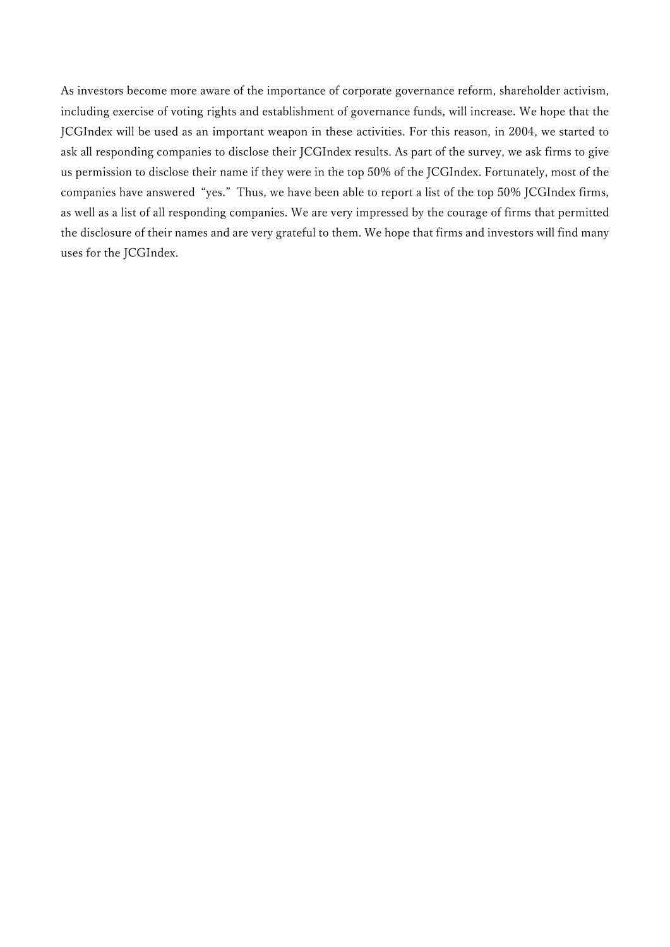As investors become more aware of the importance of corporate governance reform, shareholder activism, including exercise of voting rights and establishment of governance funds, will increase. We hope that the JCGIndex will be used as an important weapon in these activities. For this reason, in 2004, we started to ask all responding companies to disclose their JCGIndex results. As part of the survey, we ask firms to give us permission to disclose their name if they were in the top 50% of the JCGIndex. Fortunately, most of the companies have answered "yes." Thus, we have been able to report a list of the top 50% JCGIndex firms, as well as a list of all responding companies. We are very impressed by the courage of firms that permitted the disclosure of their names and are very grateful to them. We hope that firms and investors will find many uses for the JCGIndex.